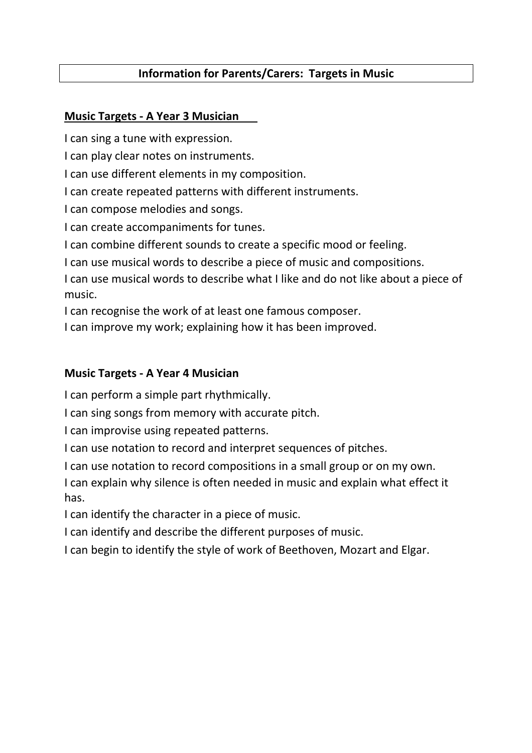# Information for Parents/Carers: Targets in Music

### Music Targets - A Year 3 Musician

I can sing a tune with expression.

I can play clear notes on instruments.

I can use different elements in my composition.

I can create repeated patterns with different instruments.

I can compose melodies and songs.

I can create accompaniments for tunes.

I can combine different sounds to create a specific mood or feeling.

I can use musical words to describe a piece of music and compositions.

I can use musical words to describe what I like and do not like about a piece of music.

I can recognise the work of at least one famous composer.

I can improve my work; explaining how it has been improved.

## Music Targets - A Year 4 Musician

I can perform a simple part rhythmically.

I can sing songs from memory with accurate pitch.

I can improvise using repeated patterns.

I can use notation to record and interpret sequences of pitches.

I can use notation to record compositions in a small group or on my own.

I can explain why silence is often needed in music and explain what effect it has.

I can identify the character in a piece of music.

I can identify and describe the different purposes of music.

I can begin to identify the style of work of Beethoven, Mozart and Elgar.